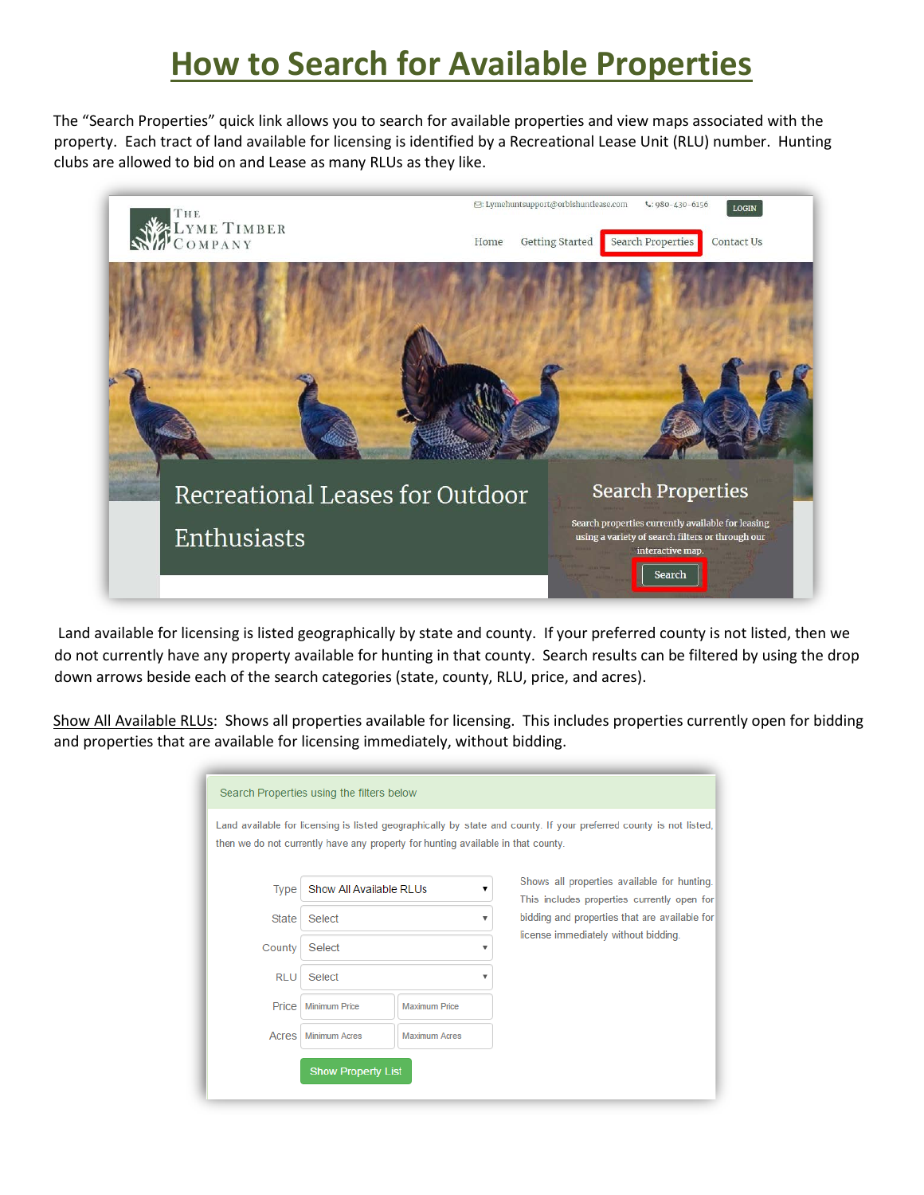## **How to Search for Available Properties**

The "Search Properties" quick link allows you to search for available properties and view maps associated with the property. Each tract of land available for licensing is identified by a Recreational Lease Unit (RLU) number. Hunting clubs are allowed to bid on and Lease as many RLUs as they like.



Land available for licensing is listed geographically by state and county. If your preferred county is not listed, then we do not currently have any property available for hunting in that county. Search results can be filtered by using the drop down arrows beside each of the search categories (state, county, RLU, price, and acres).

Show All Available RLUs: Shows all properties available for licensing. This includes properties currently open for bidding and properties that are available for licensing immediately, without bidding.

|              | Search Properties using the filters below                                        |                      |                           |                                                                                                                    |
|--------------|----------------------------------------------------------------------------------|----------------------|---------------------------|--------------------------------------------------------------------------------------------------------------------|
|              | then we do not currently have any property for hunting available in that county. |                      |                           | Land available for licensing is listed geographically by state and county. If your preferred county is not listed, |
| Type         | Show All Available RLUs                                                          |                      | ▼                         | Shows all properties available for hunting.<br>This includes properties currently open for                         |
| <b>State</b> | Select                                                                           |                      | $\boldsymbol{\mathrm{v}}$ | bidding and properties that are available for                                                                      |
| County       | Select                                                                           |                      | $\overline{\mathbf{v}}$   | license immediately without bidding.                                                                               |
| <b>RLU</b>   | Select                                                                           |                      | $\overline{\mathbf{v}}$   |                                                                                                                    |
| Price        | <b>Minimum Price</b>                                                             | <b>Maximum Price</b> |                           |                                                                                                                    |
| Acres        | <b>Minimum Acres</b>                                                             | <b>Maximum Acres</b> |                           |                                                                                                                    |
|              | <b>Show Property List</b>                                                        |                      |                           |                                                                                                                    |
|              |                                                                                  |                      |                           |                                                                                                                    |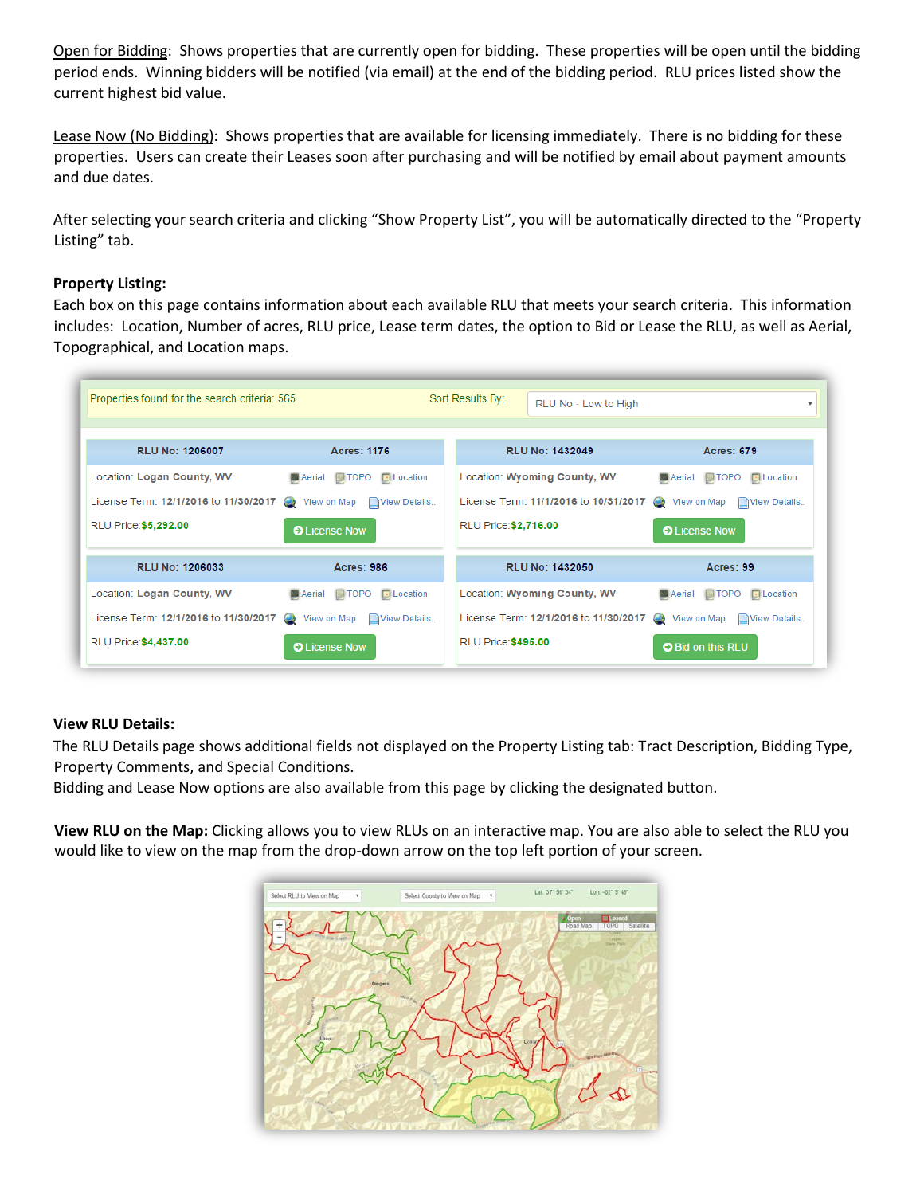Open for Bidding: Shows properties that are currently open for bidding. These properties will be open until the bidding period ends. Winning bidders will be notified (via email) at the end of the bidding period. RLU prices listed show the current highest bid value.

Lease Now (No Bidding): Shows properties that are available for licensing immediately. There is no bidding for these properties. Users can create their Leases soon after purchasing and will be notified by email about payment amounts and due dates.

After selecting your search criteria and clicking "Show Property List", you will be automatically directed to the "Property Listing" tab.

## **Property Listing:**

Each box on this page contains information about each available RLU that meets your search criteria. This information includes: Location, Number of acres, RLU price, Lease term dates, the option to Bid or Lease the RLU, as well as Aerial, Topographical, and Location maps.



## **View RLU Details:**

The RLU Details page shows additional fields not displayed on the Property Listing tab: Tract Description, Bidding Type, Property Comments, and Special Conditions.

Bidding and Lease Now options are also available from this page by clicking the designated button.

**View RLU on the Map:** Clicking allows you to view RLUs on an interactive map. You are also able to select the RLU you would like to view on the map from the drop-down arrow on the top left portion of your screen.